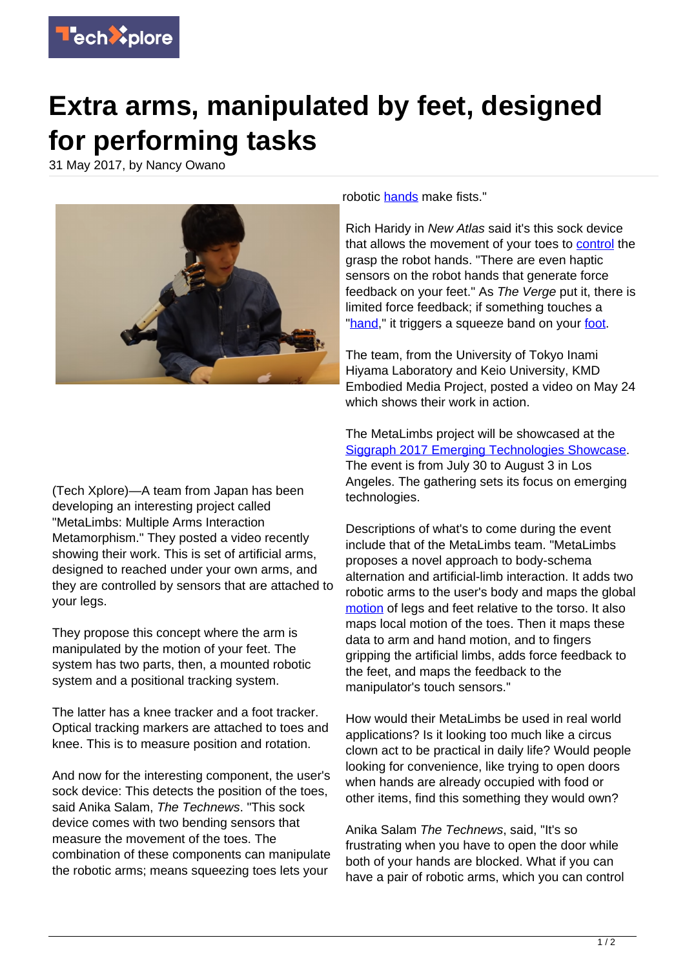

## **Extra arms, manipulated by feet, designed for performing tasks**

31 May 2017, by Nancy Owano



(Tech Xplore)—A team from Japan has been developing an interesting project called "MetaLimbs: Multiple Arms Interaction Metamorphism." They posted a video recently showing their work. This is set of artificial arms, designed to reached under your own arms, and they are controlled by sensors that are attached to your legs.

They propose this concept where the arm is manipulated by the motion of your feet. The system has two parts, then, a mounted robotic system and a positional tracking system.

The latter has a knee tracker and a foot tracker. Optical tracking markers are attached to toes and knee. This is to measure position and rotation.

And now for the interesting component, the user's sock device: This detects the position of the toes, said Anika Salam, The Technews. "This sock device comes with two bending sensors that measure the movement of the toes. The combination of these components can manipulate the robotic arms; means squeezing toes lets your

robotic [hands](http://thetechnews.com/2017/05/30/robotic-arms-controlled-by-feet-as-having-two-arms-arent-enough-always/) make fists."

Rich Haridy in New Atlas said it's this sock device that allows the movement of your toes to [control](http://newatlas.com/metalimbs-robot-arms/49769/) the grasp the robot hands. "There are even haptic sensors on the robot hands that generate force feedback on your feet." As The Verge put it, there is limited force feedback; if something touches a ["hand,](https://techxplore.com/tags/hand/)" it triggers a squeeze band on your [foot.](https://www.theverge.com/2017/5/29/15710174/metalimbs-foot-controlled-robotic-arms-inami-hiyama-lab)

The team, from the University of Tokyo Inami Hiyama Laboratory and Keio University, KMD Embodied Media Project, posted a video on May 24 which shows their work in action.

The MetaLimbs project will be showcased at the [Siggraph 2017 Emerging Technologies Showcase](http://s2017.siggraph.org/content/emerging-technologies). The event is from July 30 to August 3 in Los Angeles. The gathering sets its focus on emerging technologies.

Descriptions of what's to come during the event include that of the MetaLimbs team. "MetaLimbs proposes a novel approach to body-schema alternation and artificial-limb interaction. It adds two robotic arms to the user's body and maps the global [motion](http://s2017.siggraph.org/content/emerging-technologies) of legs and feet relative to the torso. It also maps local motion of the toes. Then it maps these data to arm and hand motion, and to fingers gripping the artificial limbs, adds force feedback to the feet, and maps the feedback to the manipulator's touch sensors."

How would their MetaLimbs be used in real world applications? Is it looking too much like a circus clown act to be practical in daily life? Would people looking for convenience, like trying to open doors when hands are already occupied with food or other items, find this something they would own?

Anika Salam The Technews, said, "It's so frustrating when you have to open the door while both of your hands are blocked. What if you can have a pair of robotic arms, which you can control